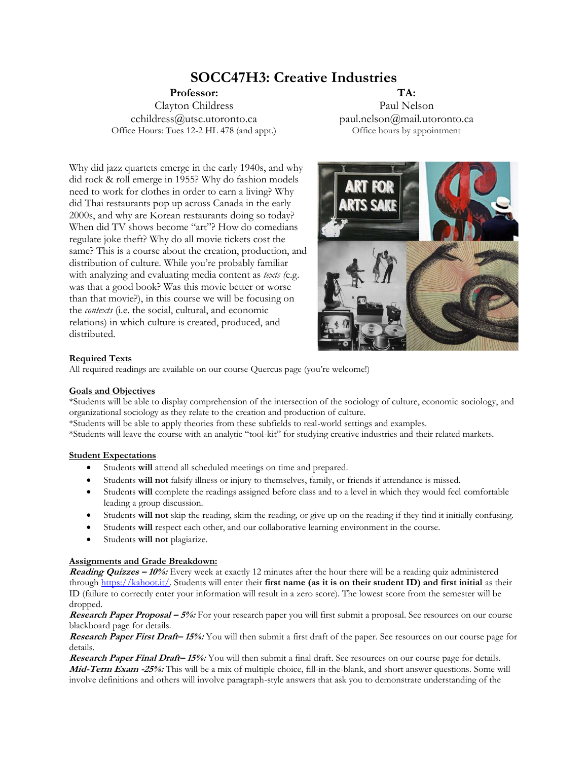# **SOCC47H3: Creative Industries**

**Professor:** Clayton Childress cchildress@utsc.utoronto.ca Office Hours: Tues 12-2 HL 478 (and appt.)

**TA:** Paul Nelson paul.nelson@mail.utoronto.ca Office hours by appointment

Why did jazz quartets emerge in the early 1940s, and why did rock & roll emerge in 1955? Why do fashion models need to work for clothes in order to earn a living? Why did Thai restaurants pop up across Canada in the early 2000s, and why are Korean restaurants doing so today? When did TV shows become "art"? How do comedians regulate joke theft? Why do all movie tickets cost the same? This is a course about the creation, production, and distribution of culture. While you're probably familiar with analyzing and evaluating media content as *texts (*e.g. was that a good book? Was this movie better or worse than that movie?), in this course we will be focusing on the *contexts* (i.e. the social, cultural, and economic relations) in which culture is created, produced, and distributed.

# **Required Texts**

All required readings are available on our course Quercus page (you're welcome!)

# **Goals and Objectives**

\*Students will be able to display comprehension of the intersection of the sociology of culture, economic sociology, and organizational sociology as they relate to the creation and production of culture.

\*Students will be able to apply theories from these subfields to real-world settings and examples.

\*Students will leave the course with an analytic "tool-kit" for studying creative industries and their related markets.

#### **Student Expectations**

- Students **will** attend all scheduled meetings on time and prepared.
- Students **will not** falsify illness or injury to themselves, family, or friends if attendance is missed.
- Students **will** complete the readings assigned before class and to a level in which they would feel comfortable leading a group discussion.
- Students **will not** skip the reading, skim the reading, or give up on the reading if they find it initially confusing.
- Students **will** respect each other, and our collaborative learning environment in the course.
- Students **will not** plagiarize.

#### **Assignments and Grade Breakdown:**

**Reading Quizzes – 10%:** Every week at exactly 12 minutes after the hour there will be a reading quiz administered through [https://kahoot.it/.](https://kahoot.it/) Students will enter their **first name (as it is on their student ID) and first initial** as their ID (failure to correctly enter your information will result in a zero score). The lowest score from the semester will be dropped.

**Research Paper Proposal – 5%:** For your research paper you will first submit a proposal. See resources on our course blackboard page for details.

**Research Paper First Draft– 15%:** You will then submit a first draft of the paper. See resources on our course page for details.

**Research Paper Final Draft– 15%:** You will then submit a final draft. See resources on our course page for details. **Mid-Term Exam -25%:** This will be a mix of multiple choice, fill-in-the-blank, and short answer questions. Some will involve definitions and others will involve paragraph-style answers that ask you to demonstrate understanding of the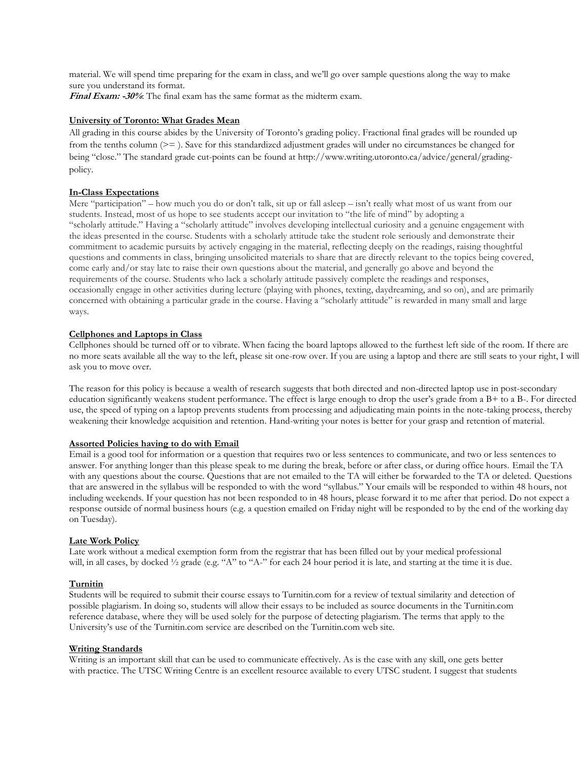material. We will spend time preparing for the exam in class, and we'll go over sample questions along the way to make sure you understand its format. **Final Exam: -30%**: The final exam has the same format as the midterm exam.

# **University of Toronto: What Grades Mean**

All grading in this course abides by the University of Toronto's grading policy. Fractional final grades will be rounded up from the tenths column (>= ). Save for this standardized adjustment grades will under no circumstances be changed for being "close." The standard grade cut-points can be found at http://www.writing.utoronto.ca/advice/general/gradingpolicy.

## **In-Class Expectations**

Mere "participation" – how much you do or don't talk, sit up or fall asleep – isn't really what most of us want from our students. Instead, most of us hope to see students accept our invitation to "the life of mind" by adopting a "scholarly attitude." Having a "scholarly attitude" involves developing intellectual curiosity and a genuine engagement with the ideas presented in the course. Students with a scholarly attitude take the student role seriously and demonstrate their commitment to academic pursuits by actively engaging in the material, reflecting deeply on the readings, raising thoughtful questions and comments in class, bringing unsolicited materials to share that are directly relevant to the topics being covered, come early and/or stay late to raise their own questions about the material, and generally go above and beyond the requirements of the course. Students who lack a scholarly attitude passively complete the readings and responses, occasionally engage in other activities during lecture (playing with phones, texting, daydreaming, and so on), and are primarily concerned with obtaining a particular grade in the course. Having a "scholarly attitude" is rewarded in many small and large ways.

## **Cellphones and Laptops in Class**

Cellphones should be turned off or to vibrate. When facing the board laptops allowed to the furthest left side of the room. If there are no more seats available all the way to the left, please sit one-row over. If you are using a laptop and there are still seats to your right, I will ask you to move over.

The reason for this policy is because a wealth of research suggests that both directed and non-directed laptop use in post-secondary education significantly weakens student performance. The effect is large enough to drop the user's grade from a B+ to a B-. For directed use, the speed of typing on a laptop prevents students from processing and adjudicating main points in the note-taking process, thereby weakening their knowledge acquisition and retention. Hand-writing your notes is better for your grasp and retention of material.

#### **Assorted Policies having to do with Email**

Email is a good tool for information or a question that requires two or less sentences to communicate, and two or less sentences to answer. For anything longer than this please speak to me during the break, before or after class, or during office hours. Email the TA with any questions about the course. Questions that are not emailed to the TA will either be forwarded to the TA or deleted. Questions that are answered in the syllabus will be responded to with the word "syllabus." Your emails will be responded to within 48 hours, not including weekends. If your question has not been responded to in 48 hours, please forward it to me after that period. Do not expect a response outside of normal business hours (e.g. a question emailed on Friday night will be responded to by the end of the working day on Tuesday).

#### **Late Work Policy**

Late work without a medical exemption form from the registrar that has been filled out by your medical professional will, in all cases, by docked  $\frac{1}{2}$  grade (e.g. "A" to "A-" for each 24 hour period it is late, and starting at the time it is due.

#### **Turnitin**

Students will be required to submit their course essays to Turnitin.com for a review of textual similarity and detection of possible plagiarism. In doing so, students will allow their essays to be included as source documents in the Turnitin.com reference database, where they will be used solely for the purpose of detecting plagiarism. The terms that apply to the University's use of the Turnitin.com service are described on the Turnitin.com web site.

#### **Writing Standards**

Writing is an important skill that can be used to communicate effectively. As is the case with any skill, one gets better with practice. The UTSC Writing Centre is an excellent resource available to every UTSC student. I suggest that students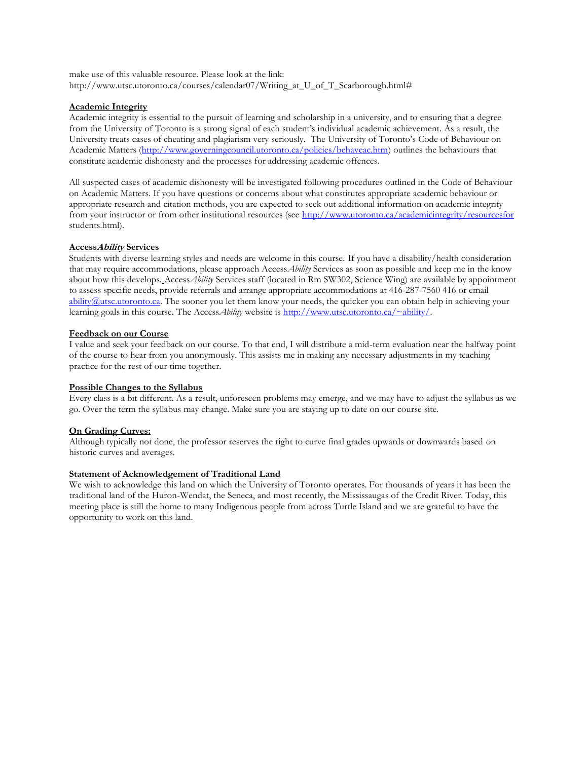make use of this valuable resource. Please look at the link: http://www.utsc.utoronto.ca/courses/calendar07/Writing\_at\_U\_of\_T\_Scarborough.html#

## **Academic Integrity**

Academic integrity is essential to the pursuit of learning and scholarship in a university, and to ensuring that a degree from the University of Toronto is a strong signal of each student's individual academic achievement. As a result, the University treats cases of cheating and plagiarism very seriously. The University of Toronto's Code of Behaviour on Academic Matters [\(http://www.governingcouncil.utoronto.ca/policies/behaveac.htm\)](http://www.governingcouncil.utoronto.ca/policies/behaveac.htm) outlines the behaviours that constitute academic dishonesty and the processes for addressing academic offences.

All suspected cases of academic dishonesty will be investigated following procedures outlined in the Code of Behaviour on Academic Matters. If you have questions or concerns about what constitutes appropriate academic behaviour or appropriate research and citation methods, you are expected to seek out additional information on academic integrity from your instructor or from other institutional resources (see<http://www.utoronto.ca/academicintegrity/resourcesfor> students.html).

## **AccessAbility Services**

Students with diverse learning styles and needs are welcome in this course. If you have a disability/health consideration that may require accommodations, please approach Access*Ability* Services as soon as possible and keep me in the know about how this develops. Access*Ability* Services staff (located in Rm SW302, Science Wing) are available by appointment to assess specific needs, provide referrals and arrange appropriate accommodations at 416-287-7560 416 or email [ability@utsc.utoronto.ca.](mailto:ability@utsc.utoronto.ca) The sooner you let them know your needs, the quicker you can obtain help in achieving your learning goals in this course. The Access*Ability* website is [http://www.utsc.utoronto.ca/~ability/.](http://www.utsc.utoronto.ca/~ability/)

## **Feedback on our Course**

I value and seek your feedback on our course. To that end, I will distribute a mid-term evaluation near the halfway point of the course to hear from you anonymously. This assists me in making any necessary adjustments in my teaching practice for the rest of our time together.

#### **Possible Changes to the Syllabus**

Every class is a bit different. As a result, unforeseen problems may emerge, and we may have to adjust the syllabus as we go. Over the term the syllabus may change. Make sure you are staying up to date on our course site.

# **On Grading Curves:**

Although typically not done, the professor reserves the right to curve final grades upwards or downwards based on historic curves and averages.

# **Statement of Acknowledgement of Traditional Land**

We wish to acknowledge this land on which the University of Toronto operates. For thousands of years it has been the traditional land of the Huron-Wendat, the Seneca, and most recently, the Mississaugas of the Credit River. Today, this meeting place is still the home to many Indigenous people from across Turtle Island and we are grateful to have the opportunity to work on this land.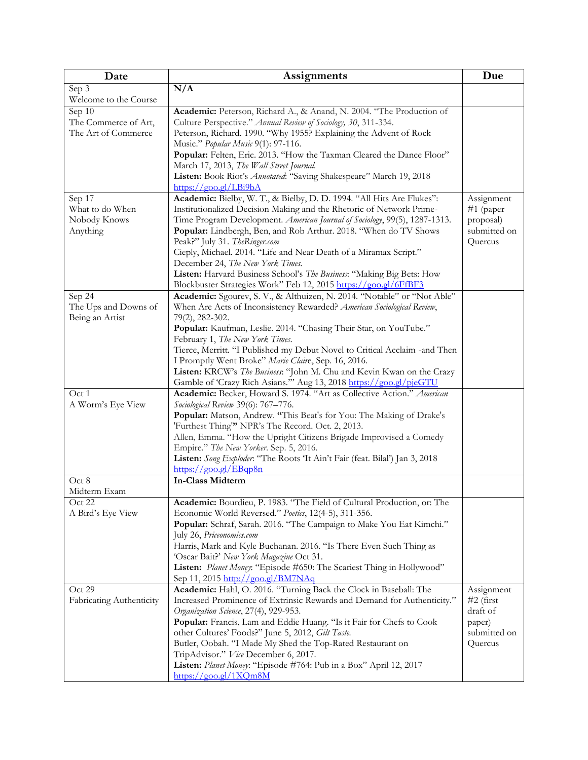| Date                     | <b>Assignments</b>                                                                                                | Due                    |
|--------------------------|-------------------------------------------------------------------------------------------------------------------|------------------------|
| Sep 3                    | N/A                                                                                                               |                        |
| Welcome to the Course    |                                                                                                                   |                        |
| Sep 10                   | Academic: Peterson, Richard A., & Anand, N. 2004. "The Production of                                              |                        |
| The Commerce of Art,     | Culture Perspective." Annual Review of Sociology, 30, 311-334.                                                    |                        |
| The Art of Commerce      | Peterson, Richard. 1990. "Why 1955? Explaining the Advent of Rock                                                 |                        |
|                          | Music." Popular Music 9(1): 97-116.                                                                               |                        |
|                          | Popular: Felten, Eric. 2013. "How the Taxman Cleared the Dance Floor"<br>March 17, 2013, The Wall Street Journal. |                        |
|                          | Listen: Book Riot's Annotated: "Saving Shakespeare" March 19, 2018                                                |                        |
|                          | $\frac{https://good.gl/LBi9bA}{https://good.gl/LBi9bA}$                                                           |                        |
| Sep 17                   | Academic: Bielby, W. T., & Bielby, D. D. 1994. "All Hits Are Flukes":                                             | Assignment             |
| What to do When          | Institutionalized Decision Making and the Rhetoric of Network Prime-                                              | #1 (paper              |
| Nobody Knows             | Time Program Development. American Journal of Sociology, 99(5), 1287-1313.                                        | proposal)              |
| Anything                 | Popular: Lindbergh, Ben, and Rob Arthur. 2018. "When do TV Shows                                                  | submitted on           |
|                          | Peak?" July 31. TheRinger.com                                                                                     | Quercus                |
|                          | Cieply, Michael. 2014. "Life and Near Death of a Miramax Script."                                                 |                        |
|                          | December 24, The New York Times.                                                                                  |                        |
|                          | Listen: Harvard Business School's The Business: "Making Big Bets: How                                             |                        |
|                          | Blockbuster Strategies Work" Feb 12, 2015 https://goo.gl/6FfBF3                                                   |                        |
| Sep 24                   | Academic: Sgourev, S. V., & Althuizen, N. 2014. "Notable" or "Not Able"                                           |                        |
| The Ups and Downs of     | When Are Acts of Inconsistency Rewarded? American Sociological Review,                                            |                        |
| Being an Artist          | 79(2), 282-302.                                                                                                   |                        |
|                          | Popular: Kaufman, Leslie. 2014. "Chasing Their Star, on YouTube."                                                 |                        |
|                          | February 1, The New York Times.<br>Tierce, Merritt. "I Published my Debut Novel to Critical Acclaim -and Then     |                        |
|                          | I Promptly Went Broke" Marie Claire, Sep. 16, 2016.                                                               |                        |
|                          | Listen: KRCW's The Business: "John M. Chu and Kevin Kwan on the Crazy                                             |                        |
|                          | Gamble of 'Crazy Rich Asians." Aug 13, 2018 https://goo.gl/pjeGTU                                                 |                        |
| Oct 1                    | Academic: Becker, Howard S. 1974. "Art as Collective Action." American                                            |                        |
| A Worm's Eye View        | Sociological Review 39(6): 767-776.                                                                               |                        |
|                          | Popular: Matson, Andrew. "This Beat's for You: The Making of Drake's                                              |                        |
|                          | 'Furthest Thing'" NPR's The Record. Oct. 2, 2013.                                                                 |                        |
|                          | Allen, Emma. "How the Upright Citizens Brigade Improvised a Comedy                                                |                        |
|                          | Empire." The New Yorker. Sep. 5, 2016.                                                                            |                        |
|                          | Listen: Song Exploder: "The Roots 'It Ain't Fair (feat. Bilal') Jan 3, 2018                                       |                        |
|                          | $\frac{https://good.gl/EBqp8n}{https://good.gl/EBqp8n}$                                                           |                        |
| Oct 8<br>Midterm Exam    | <b>In-Class Midterm</b>                                                                                           |                        |
| Oct 22                   | Academic: Bourdieu, P. 1983. "The Field of Cultural Production, or: The                                           |                        |
| A Bird's Eye View        | Economic World Reversed." Poetics, 12(4-5), 311-356.                                                              |                        |
|                          | Popular: Schraf, Sarah. 2016. "The Campaign to Make You Eat Kimchi."                                              |                        |
|                          | July 26, Priceonomics.com                                                                                         |                        |
|                          | Harris, Mark and Kyle Buchanan. 2016. "Is There Even Such Thing as                                                |                        |
|                          | 'Oscar Bait?' New York Magazine Oct 31.                                                                           |                        |
|                          | Listen: Planet Money: "Episode #650: The Scariest Thing in Hollywood"                                             |                        |
|                          | Sep 11, 2015 http://goo.gl/BM7NAq                                                                                 |                        |
| Oct 29                   | Academic: Hahl, O. 2016. "Turning Back the Clock in Baseball: The                                                 | Assignment             |
| Fabricating Authenticity | Increased Prominence of Extrinsic Rewards and Demand for Authenticity."                                           | $#2$ (first            |
|                          | Organization Science, 27(4), 929-953.<br>Popular: Francis, Lam and Eddie Huang. "Is it Fair for Chefs to Cook     | draft of               |
|                          | other Cultures' Foods?" June 5, 2012, Gilt Taste.                                                                 | paper)<br>submitted on |
|                          | Butler, Oobah. "I Made My Shed the Top-Rated Restaurant on                                                        | Quercus                |
|                          | TripAdvisor." Vice December 6, 2017.                                                                              |                        |
|                          | Listen: Planet Money: "Episode #764: Pub in a Box" April 12, 2017                                                 |                        |
|                          | $\frac{\text{https://goo.gl/1XQm8M}}{}$                                                                           |                        |